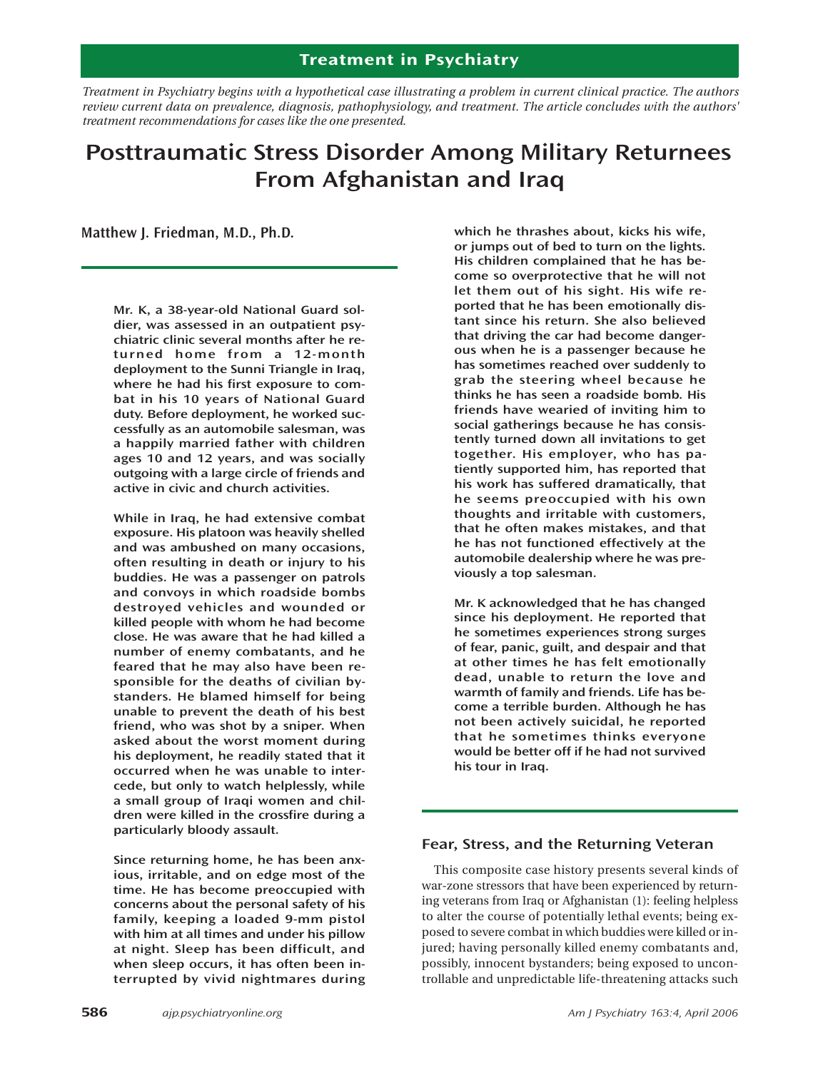# **Treatment in Psychiatry**

*Treatment in Psychiatry begins with a hypothetical case illustrating a problem in current clinical practice. The authors review current data on prevalence, diagnosis, pathophysiology, and treatment. The article concludes with the authors' treatment recommendations for cases like the one presented.* 

# **Posttraumatic Stress Disorder Among Military Returnees From Afghanistan and Iraq**

**Matthew J. Friedman, M.D., Ph.D.**

**Mr. K, a 38-year-old National Guard soldier, was assessed in an outpatient psychiatric clinic several months after he returned home from a 12-month deployment to the Sunni Triangle in Iraq, where he had his first exposure to combat in his 10 years of National Guard duty. Before deployment, he worked successfully as an automobile salesman, was a happily married father with children ages 10 and 12 years, and was socially outgoing with a large circle of friends and active in civic and church activities.** 

**While in Iraq, he had extensive combat exposure. His platoon was heavily shelled and was ambushed on many occasions, often resulting in death or injury to his buddies. He was a passenger on patrols and convoys in which roadside bombs destroyed vehicles and wounded or killed people with whom he had become close. He was aware that he had killed a number of enemy combatants, and he feared that he may also have been responsible for the deaths of civilian bystanders. He blamed himself for being unable to prevent the death of his best friend, who was shot by a sniper. When asked about the worst moment during his deployment, he readily stated that it occurred when he was unable to intercede, but only to watch helplessly, while a small group of Iraqi women and children were killed in the crossfire during a particularly bloody assault.**

**Since returning home, he has been anxious, irritable, and on edge most of the time. He has become preoccupied with concerns about the personal safety of his family, keeping a loaded 9-mm pistol with him at all times and under his pillow at night. Sleep has been difficult, and when sleep occurs, it has often been interrupted by vivid nightmares during**

**which he thrashes about, kicks his wife, or jumps out of bed to turn on the lights. His children complained that he has become so overprotective that he will not let them out of his sight. His wife reported that he has been emotionally distant since his return. She also believed that driving the car had become dangerous when he is a passenger because he has sometimes reached over suddenly to grab the steering wheel because he thinks he has seen a roadside bomb. His friends have wearied of inviting him to social gatherings because he has consistently turned down all invitations to get together. His employer, who has patiently supported him, has reported that his work has suffered dramatically, that he seems preoccupied with his own thoughts and irritable with customers, that he often makes mistakes, and that he has not functioned effectively at the automobile dealership where he was previously a top salesman.** 

**Mr. K acknowledged that he has changed since his deployment. He reported that he sometimes experiences strong surges of fear, panic, guilt, and despair and that at other times he has felt emotionally dead, unable to return the love and warmth of family and friends. Life has become a terrible burden. Although he has not been actively suicidal, he reported that he sometimes thinks everyone would be better off if he had not survived his tour in Iraq.**

# **Fear, Stress, and the Returning Veteran**

This composite case history presents several kinds of war-zone stressors that have been experienced by returning veterans from Iraq or Afghanistan (1): feeling helpless to alter the course of potentially lethal events; being exposed to severe combat in which buddies were killed or injured; having personally killed enemy combatants and, possibly, innocent bystanders; being exposed to uncontrollable and unpredictable life-threatening attacks such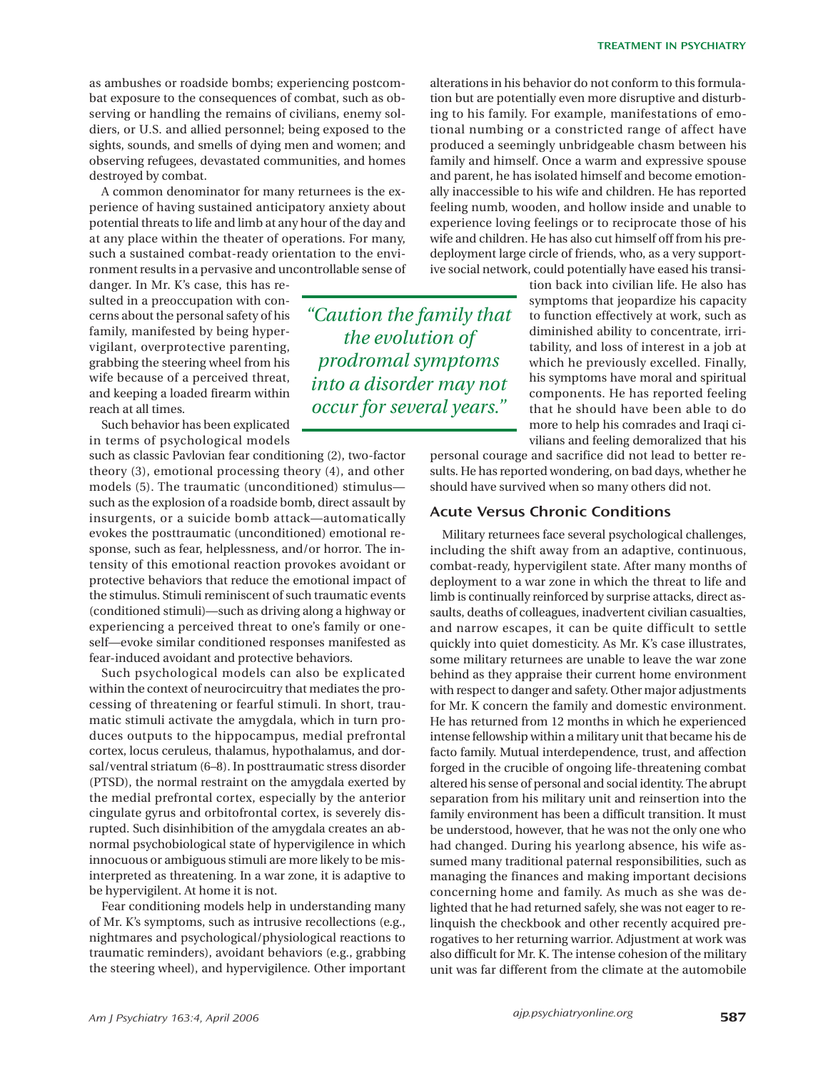as ambushes or roadside bombs; experiencing postcombat exposure to the consequences of combat, such as observing or handling the remains of civilians, enemy soldiers, or U.S. and allied personnel; being exposed to the sights, sounds, and smells of dying men and women; and observing refugees, devastated communities, and homes destroyed by combat.

A common denominator for many returnees is the experience of having sustained anticipatory anxiety about potential threats to life and limb at any hour of the day and at any place within the theater of operations. For many, such a sustained combat-ready orientation to the environment results in a pervasive and uncontrollable sense of

danger. In Mr. K's case, this has resulted in a preoccupation with concerns about the personal safety of his family, manifested by being hypervigilant, overprotective parenting, grabbing the steering wheel from his wife because of a perceived threat, and keeping a loaded firearm within reach at all times.

Such behavior has been explicated in terms of psychological models

such as classic Pavlovian fear conditioning (2), two-factor theory (3), emotional processing theory (4), and other models (5). The traumatic (unconditioned) stimulus such as the explosion of a roadside bomb, direct assault by insurgents, or a suicide bomb attack—automatically evokes the posttraumatic (unconditioned) emotional response, such as fear, helplessness, and/or horror. The intensity of this emotional reaction provokes avoidant or protective behaviors that reduce the emotional impact of the stimulus. Stimuli reminiscent of such traumatic events (conditioned stimuli)—such as driving along a highway or experiencing a perceived threat to one's family or oneself—evoke similar conditioned responses manifested as fear-induced avoidant and protective behaviors.

Such psychological models can also be explicated within the context of neurocircuitry that mediates the processing of threatening or fearful stimuli. In short, traumatic stimuli activate the amygdala, which in turn produces outputs to the hippocampus, medial prefrontal cortex, locus ceruleus, thalamus, hypothalamus, and dorsal/ventral striatum (6–8). In posttraumatic stress disorder (PTSD), the normal restraint on the amygdala exerted by the medial prefrontal cortex, especially by the anterior cingulate gyrus and orbitofrontal cortex, is severely disrupted. Such disinhibition of the amygdala creates an abnormal psychobiological state of hypervigilence in which innocuous or ambiguous stimuli are more likely to be misinterpreted as threatening. In a war zone, it is adaptive to be hypervigilent. At home it is not.

Fear conditioning models help in understanding many of Mr. K's symptoms, such as intrusive recollections (e.g., nightmares and psychological/physiological reactions to traumatic reminders), avoidant behaviors (e.g., grabbing the steering wheel), and hypervigilence. Other important alterations in his behavior do not conform to this formulation but are potentially even more disruptive and disturbing to his family. For example, manifestations of emotional numbing or a constricted range of affect have produced a seemingly unbridgeable chasm between his family and himself. Once a warm and expressive spouse and parent, he has isolated himself and become emotionally inaccessible to his wife and children. He has reported feeling numb, wooden, and hollow inside and unable to experience loving feelings or to reciprocate those of his wife and children. He has also cut himself off from his predeployment large circle of friends, who, as a very supportive social network, could potentially have eased his transi-

*"Caution the family that the evolution of prodromal symptoms into a disorder may not occur for several years."*

tion back into civilian life. He also has symptoms that jeopardize his capacity to function effectively at work, such as diminished ability to concentrate, irritability, and loss of interest in a job at which he previously excelled. Finally, his symptoms have moral and spiritual components. He has reported feeling that he should have been able to do more to help his comrades and Iraqi civilians and feeling demoralized that his

personal courage and sacrifice did not lead to better results. He has reported wondering, on bad days, whether he should have survived when so many others did not.

# **Acute Versus Chronic Conditions**

Military returnees face several psychological challenges, including the shift away from an adaptive, continuous, combat-ready, hypervigilent state. After many months of deployment to a war zone in which the threat to life and limb is continually reinforced by surprise attacks, direct assaults, deaths of colleagues, inadvertent civilian casualties, and narrow escapes, it can be quite difficult to settle quickly into quiet domesticity. As Mr. K's case illustrates, some military returnees are unable to leave the war zone behind as they appraise their current home environment with respect to danger and safety. Other major adjustments for Mr. K concern the family and domestic environment. He has returned from 12 months in which he experienced intense fellowship within a military unit that became his de facto family. Mutual interdependence, trust, and affection forged in the crucible of ongoing life-threatening combat altered his sense of personal and social identity. The abrupt separation from his military unit and reinsertion into the family environment has been a difficult transition. It must be understood, however, that he was not the only one who had changed. During his yearlong absence, his wife assumed many traditional paternal responsibilities, such as managing the finances and making important decisions concerning home and family. As much as she was delighted that he had returned safely, she was not eager to relinquish the checkbook and other recently acquired prerogatives to her returning warrior. Adjustment at work was also difficult for Mr. K. The intense cohesion of the military unit was far different from the climate at the automobile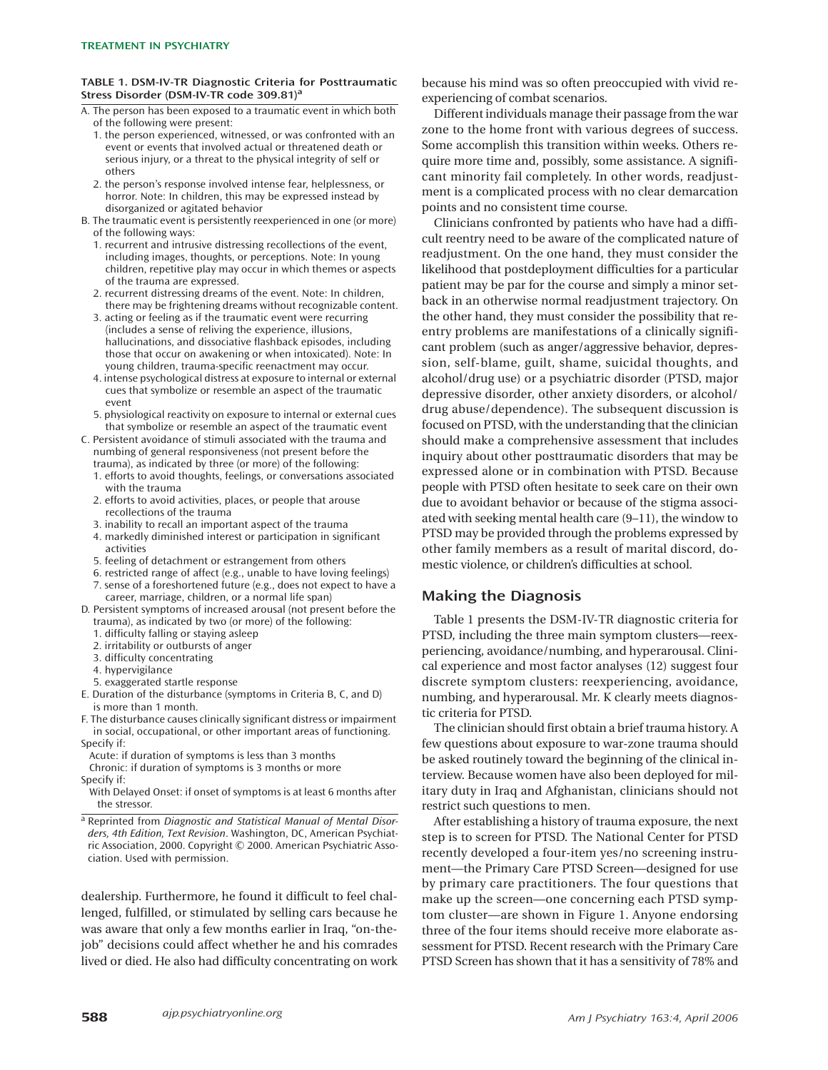#### **TABLE 1. DSM-IV-TR Diagnostic Criteria for Posttraumatic Stress Disorder (DSM-IV-TR code 309.81)a**

- A. The person has been exposed to a traumatic event in which both of the following were present:
	- 1. the person experienced, witnessed, or was confronted with an event or events that involved actual or threatened death or serious injury, or a threat to the physical integrity of self or others
	- 2. the person's response involved intense fear, helplessness, or horror. Note: In children, this may be expressed instead by disorganized or agitated behavior
- B. The traumatic event is persistently reexperienced in one (or more) of the following ways:
	- 1. recurrent and intrusive distressing recollections of the event, including images, thoughts, or perceptions. Note: In young children, repetitive play may occur in which themes or aspects of the trauma are expressed.
	- 2. recurrent distressing dreams of the event. Note: In children, there may be frightening dreams without recognizable content.
	- 3. acting or feeling as if the traumatic event were recurring (includes a sense of reliving the experience, illusions, hallucinations, and dissociative flashback episodes, including those that occur on awakening or when intoxicated). Note: In young children, trauma-specific reenactment may occur.
	- 4. intense psychological distress at exposure to internal or external cues that symbolize or resemble an aspect of the traumatic event
	- 5. physiological reactivity on exposure to internal or external cues that symbolize or resemble an aspect of the traumatic event
- C. Persistent avoidance of stimuli associated with the trauma and numbing of general responsiveness (not present before the trauma), as indicated by three (or more) of the following:
	- 1. efforts to avoid thoughts, feelings, or conversations associated with the trauma
	- 2. efforts to avoid activities, places, or people that arouse recollections of the trauma
	- 3. inability to recall an important aspect of the trauma
	- 4. markedly diminished interest or participation in significant activities
	- 5. feeling of detachment or estrangement from others
	- 6. restricted range of affect (e.g., unable to have loving feelings) 7. sense of a foreshortened future (e.g., does not expect to have a
- career, marriage, children, or a normal life span) D. Persistent symptoms of increased arousal (not present before the
	- trauma), as indicated by two (or more) of the following:
	- 1. difficulty falling or staying asleep
	- 2. irritability or outbursts of anger
	- 3. difficulty concentrating
	- 4. hypervigilance
	- 5. exaggerated startle response
- E. Duration of the disturbance (symptoms in Criteria B, C, and D) is more than 1 month.
- F. The disturbance causes clinically significant distress or impairment in social, occupational, or other important areas of functioning. Specify if:
- Acute: if duration of symptoms is less than 3 months Chronic: if duration of symptoms is 3 months or more
- Specify if:
- With Delayed Onset: if onset of symptoms is at least 6 months after the stressor.
- a Reprinted from Diagnostic and Statistical Manual of Mental Disorders, 4th Edition, Text Revision. Washington, DC, American Psychiatric Association, 2000. Copyright © 2000. American Psychiatric Association. Used with permission.

dealership. Furthermore, he found it difficult to feel challenged, fulfilled, or stimulated by selling cars because he was aware that only a few months earlier in Iraq, "on-thejob" decisions could affect whether he and his comrades lived or died. He also had difficulty concentrating on work because his mind was so often preoccupied with vivid reexperiencing of combat scenarios.

Different individuals manage their passage from the war zone to the home front with various degrees of success. Some accomplish this transition within weeks. Others require more time and, possibly, some assistance. A significant minority fail completely. In other words, readjustment is a complicated process with no clear demarcation points and no consistent time course.

Clinicians confronted by patients who have had a difficult reentry need to be aware of the complicated nature of readjustment. On the one hand, they must consider the likelihood that postdeployment difficulties for a particular patient may be par for the course and simply a minor setback in an otherwise normal readjustment trajectory. On the other hand, they must consider the possibility that reentry problems are manifestations of a clinically significant problem (such as anger/aggressive behavior, depression, self-blame, guilt, shame, suicidal thoughts, and alcohol/drug use) or a psychiatric disorder (PTSD, major depressive disorder, other anxiety disorders, or alcohol/ drug abuse/dependence). The subsequent discussion is focused on PTSD, with the understanding that the clinician should make a comprehensive assessment that includes inquiry about other posttraumatic disorders that may be expressed alone or in combination with PTSD. Because people with PTSD often hesitate to seek care on their own due to avoidant behavior or because of the stigma associated with seeking mental health care (9–11), the window to PTSD may be provided through the problems expressed by other family members as a result of marital discord, domestic violence, or children's difficulties at school.

# **Making the Diagnosis**

Table 1 presents the DSM-IV-TR diagnostic criteria for PTSD, including the three main symptom clusters—reexperiencing, avoidance/numbing, and hyperarousal. Clinical experience and most factor analyses (12) suggest four discrete symptom clusters: reexperiencing, avoidance, numbing, and hyperarousal. Mr. K clearly meets diagnostic criteria for PTSD.

The clinician should first obtain a brief trauma history. A few questions about exposure to war-zone trauma should be asked routinely toward the beginning of the clinical interview. Because women have also been deployed for military duty in Iraq and Afghanistan, clinicians should not restrict such questions to men.

After establishing a history of trauma exposure, the next step is to screen for PTSD. The National Center for PTSD recently developed a four-item yes/no screening instrument—the Primary Care PTSD Screen—designed for use by primary care practitioners. The four questions that make up the screen—one concerning each PTSD symptom cluster—are shown in Figure 1. Anyone endorsing three of the four items should receive more elaborate assessment for PTSD. Recent research with the Primary Care PTSD Screen has shown that it has a sensitivity of 78% and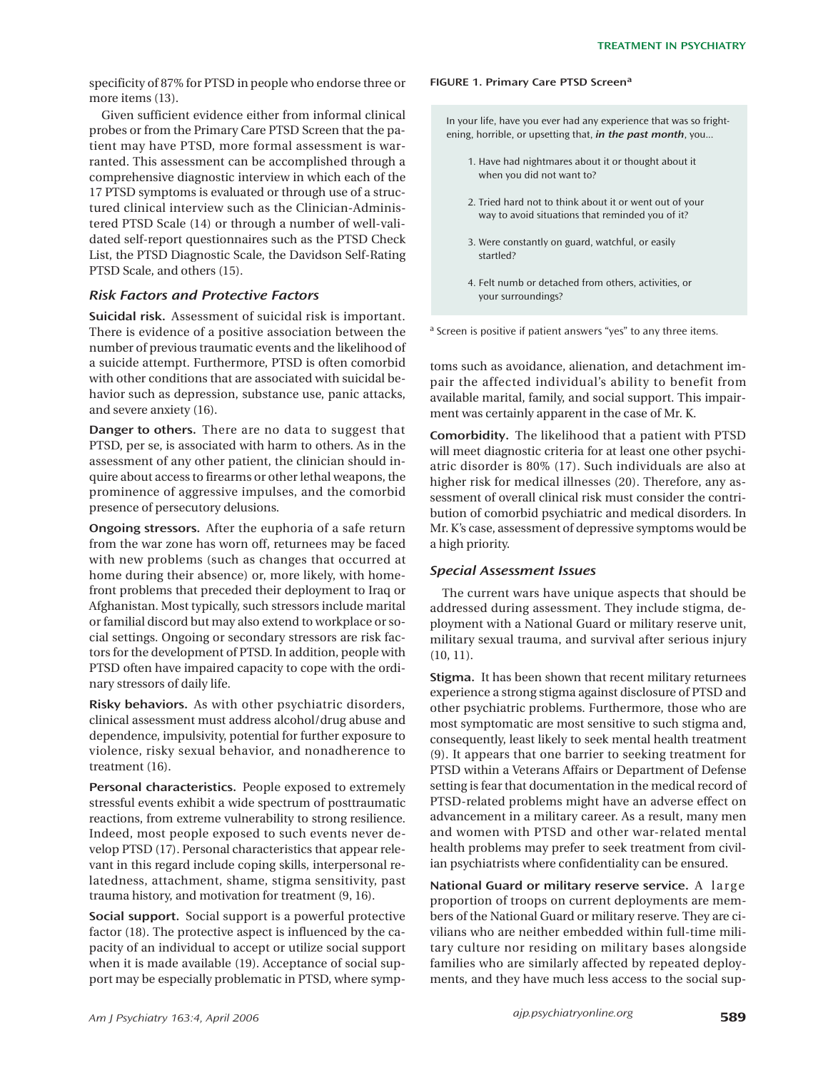specificity of 87% for PTSD in people who endorse three or more items (13).

Given sufficient evidence either from informal clinical probes or from the Primary Care PTSD Screen that the patient may have PTSD, more formal assessment is warranted. This assessment can be accomplished through a comprehensive diagnostic interview in which each of the 17 PTSD symptoms is evaluated or through use of a structured clinical interview such as the Clinician-Administered PTSD Scale (14) or through a number of well-validated self-report questionnaires such as the PTSD Check List, the PTSD Diagnostic Scale, the Davidson Self-Rating PTSD Scale, and others (15).

## *Risk Factors and Protective Factors*

**Suicidal risk.** Assessment of suicidal risk is important. There is evidence of a positive association between the number of previous traumatic events and the likelihood of a suicide attempt. Furthermore, PTSD is often comorbid with other conditions that are associated with suicidal behavior such as depression, substance use, panic attacks, and severe anxiety (16).

**Danger to others.** There are no data to suggest that PTSD, per se, is associated with harm to others. As in the assessment of any other patient, the clinician should inquire about access to firearms or other lethal weapons, the prominence of aggressive impulses, and the comorbid presence of persecutory delusions.

**Ongoing stressors.** After the euphoria of a safe return from the war zone has worn off, returnees may be faced with new problems (such as changes that occurred at home during their absence) or, more likely, with homefront problems that preceded their deployment to Iraq or Afghanistan. Most typically, such stressors include marital or familial discord but may also extend to workplace or social settings. Ongoing or secondary stressors are risk factors for the development of PTSD. In addition, people with PTSD often have impaired capacity to cope with the ordinary stressors of daily life.

**Risky behaviors.** As with other psychiatric disorders, clinical assessment must address alcohol/drug abuse and dependence, impulsivity, potential for further exposure to violence, risky sexual behavior, and nonadherence to treatment (16).

**Personal characteristics.** People exposed to extremely stressful events exhibit a wide spectrum of posttraumatic reactions, from extreme vulnerability to strong resilience. Indeed, most people exposed to such events never develop PTSD (17). Personal characteristics that appear relevant in this regard include coping skills, interpersonal relatedness, attachment, shame, stigma sensitivity, past trauma history, and motivation for treatment (9, 16).

**Social support.** Social support is a powerful protective factor (18). The protective aspect is influenced by the capacity of an individual to accept or utilize social support when it is made available (19). Acceptance of social support may be especially problematic in PTSD, where symp-

#### **FIGURE 1. Primary Care PTSD Screen<sup>a</sup>**

In your life, have you ever had any experience that was so frightening, horrible, or upsetting that, *in the past month*, you...

- 1. Have had nightmares about it or thought about it when you did not want to?
- 2. Tried hard not to think about it or went out of your way to avoid situations that reminded you of it?
- 3. Were constantly on guard, watchful, or easily startled?
- 4. Felt numb or detached from others, activities, or your surroundings?

<sup>a</sup> Screen is positive if patient answers "yes" to any three items.

toms such as avoidance, alienation, and detachment impair the affected individual's ability to benefit from available marital, family, and social support. This impairment was certainly apparent in the case of Mr. K.

**Comorbidity.** The likelihood that a patient with PTSD will meet diagnostic criteria for at least one other psychiatric disorder is 80% (17). Such individuals are also at higher risk for medical illnesses (20). Therefore, any assessment of overall clinical risk must consider the contribution of comorbid psychiatric and medical disorders. In Mr. K's case, assessment of depressive symptoms would be a high priority.

## *Special Assessment Issues*

The current wars have unique aspects that should be addressed during assessment. They include stigma, deployment with a National Guard or military reserve unit, military sexual trauma, and survival after serious injury (10, 11).

**Stigma.** It has been shown that recent military returnees experience a strong stigma against disclosure of PTSD and other psychiatric problems. Furthermore, those who are most symptomatic are most sensitive to such stigma and, consequently, least likely to seek mental health treatment (9). It appears that one barrier to seeking treatment for PTSD within a Veterans Affairs or Department of Defense setting is fear that documentation in the medical record of PTSD-related problems might have an adverse effect on advancement in a military career. As a result, many men and women with PTSD and other war-related mental health problems may prefer to seek treatment from civilian psychiatrists where confidentiality can be ensured.

**National Guard or military reserve service.** A large proportion of troops on current deployments are members of the National Guard or military reserve. They are civilians who are neither embedded within full-time military culture nor residing on military bases alongside families who are similarly affected by repeated deployments, and they have much less access to the social sup-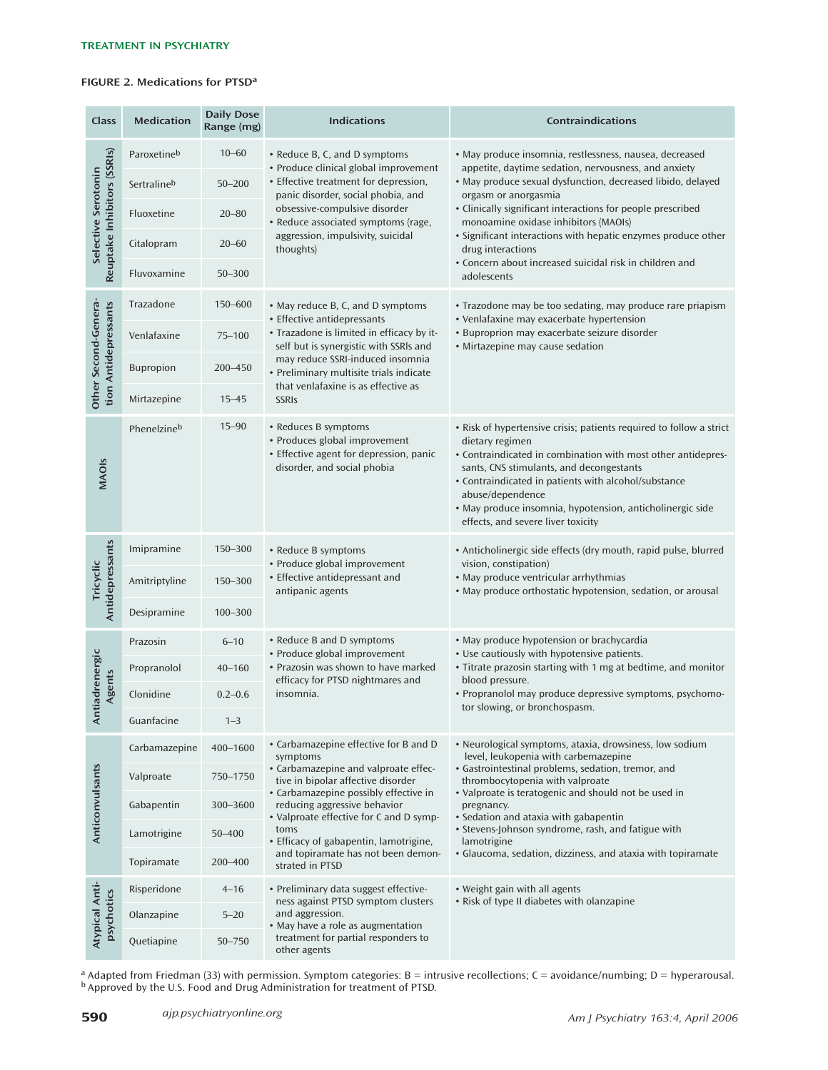## **FIGURE 2. Medications for PTSDa**

| Class                                              | <b>Medication</b> | <b>Daily Dose</b><br>Range (mg) | <b>Indications</b>                                                                                                                                                                                                                                                                                                                                             | Contraindications                                                                                                                                                                                                                                                                                                                                                                                                                                                             |
|----------------------------------------------------|-------------------|---------------------------------|----------------------------------------------------------------------------------------------------------------------------------------------------------------------------------------------------------------------------------------------------------------------------------------------------------------------------------------------------------------|-------------------------------------------------------------------------------------------------------------------------------------------------------------------------------------------------------------------------------------------------------------------------------------------------------------------------------------------------------------------------------------------------------------------------------------------------------------------------------|
| Reuptake Inhibitors (SSRIs)<br>Selective Serotonin | Paroxetineb       | $10 - 60$                       | • Reduce B, C, and D symptoms<br>• Produce clinical global improvement<br>• Effective treatment for depression,<br>panic disorder, social phobia, and<br>obsessive-compulsive disorder<br>• Reduce associated symptoms (rage,<br>aggression, impulsivity, suicidal<br>thoughts)                                                                                | · May produce insomnia, restlessness, nausea, decreased<br>appetite, daytime sedation, nervousness, and anxiety<br>· May produce sexual dysfunction, decreased libido, delayed<br>orgasm or anorgasmia<br>• Clinically significant interactions for people prescribed<br>monoamine oxidase inhibitors (MAOIs)<br>• Significant interactions with hepatic enzymes produce other<br>drug interactions<br>• Concern about increased suicidal risk in children and<br>adolescents |
|                                                    | Sertralineb       | $50 - 200$                      |                                                                                                                                                                                                                                                                                                                                                                |                                                                                                                                                                                                                                                                                                                                                                                                                                                                               |
|                                                    | Fluoxetine        | $20 - 80$                       |                                                                                                                                                                                                                                                                                                                                                                |                                                                                                                                                                                                                                                                                                                                                                                                                                                                               |
|                                                    | Citalopram        | $20 - 60$                       |                                                                                                                                                                                                                                                                                                                                                                |                                                                                                                                                                                                                                                                                                                                                                                                                                                                               |
|                                                    | Fluvoxamine       | $50 - 300$                      |                                                                                                                                                                                                                                                                                                                                                                |                                                                                                                                                                                                                                                                                                                                                                                                                                                                               |
| Other Second-Genera-<br>tion Antidepressants       | Trazadone         | 150-600                         | • May reduce B, C, and D symptoms<br>• Effective antidepressants<br>• Trazadone is limited in efficacy by it-<br>self but is synergistic with SSRIs and<br>may reduce SSRI-induced insomnia<br>· Preliminary multisite trials indicate<br>that venlafaxine is as effective as<br><b>SSRIS</b>                                                                  | • Trazodone may be too sedating, may produce rare priapism<br>• Venlafaxine may exacerbate hypertension<br>· Buproprion may exacerbate seizure disorder<br>· Mirtazepine may cause sedation                                                                                                                                                                                                                                                                                   |
|                                                    | Venlafaxine       | $75 - 100$                      |                                                                                                                                                                                                                                                                                                                                                                |                                                                                                                                                                                                                                                                                                                                                                                                                                                                               |
|                                                    | Bupropion         | 200-450                         |                                                                                                                                                                                                                                                                                                                                                                |                                                                                                                                                                                                                                                                                                                                                                                                                                                                               |
|                                                    | Mirtazepine       | $15 - 45$                       |                                                                                                                                                                                                                                                                                                                                                                |                                                                                                                                                                                                                                                                                                                                                                                                                                                                               |
| <b>MAOIS</b>                                       | Phenelzineb       | $15 - 90$                       | • Reduces B symptoms<br>• Produces global improvement<br>• Effective agent for depression, panic<br>disorder, and social phobia                                                                                                                                                                                                                                | • Risk of hypertensive crisis; patients required to follow a strict<br>dietary regimen<br>• Contraindicated in combination with most other antidepres-<br>sants, CNS stimulants, and decongestants<br>• Contraindicated in patients with alcohol/substance<br>abuse/dependence<br>· May produce insomnia, hypotension, anticholinergic side<br>effects, and severe liver toxicity                                                                                             |
| Antidepressants<br>Tricyclic                       | Imipramine        | 150-300                         | • Reduce B symptoms<br>• Produce global improvement<br>• Effective antidepressant and<br>antipanic agents                                                                                                                                                                                                                                                      | • Anticholinergic side effects (dry mouth, rapid pulse, blurred<br>vision, constipation)<br>• May produce ventricular arrhythmias<br>• May produce orthostatic hypotension, sedation, or arousal                                                                                                                                                                                                                                                                              |
|                                                    | Amitriptyline     | 150-300                         |                                                                                                                                                                                                                                                                                                                                                                |                                                                                                                                                                                                                                                                                                                                                                                                                                                                               |
|                                                    | Desipramine       | 100-300                         |                                                                                                                                                                                                                                                                                                                                                                |                                                                                                                                                                                                                                                                                                                                                                                                                                                                               |
| tiadrenergic<br>Agents<br>₹                        | Prazosin          | $6 - 10$                        | • Reduce B and D symptoms<br>• Produce global improvement<br>• Prazosin was shown to have marked<br>efficacy for PTSD nightmares and<br>insomnia.                                                                                                                                                                                                              | • May produce hypotension or brachycardia<br>• Use cautiously with hypotensive patients.<br>• Titrate prazosin starting with 1 mg at bedtime, and monitor<br>blood pressure.<br>• Propranolol may produce depressive symptoms, psychomo-<br>tor slowing, or bronchospasm.                                                                                                                                                                                                     |
|                                                    | Propranolol       | $40 - 160$                      |                                                                                                                                                                                                                                                                                                                                                                |                                                                                                                                                                                                                                                                                                                                                                                                                                                                               |
|                                                    | Clonidine         | $0.2 - 0.6$                     |                                                                                                                                                                                                                                                                                                                                                                |                                                                                                                                                                                                                                                                                                                                                                                                                                                                               |
|                                                    | Guanfacine        | $1 - 3$                         |                                                                                                                                                                                                                                                                                                                                                                |                                                                                                                                                                                                                                                                                                                                                                                                                                                                               |
| Anticonvulsants                                    | Carbamazepine     | 400-1600                        | • Carbamazepine effective for B and D<br>symptoms<br>• Carbamazepine and valproate effec-<br>tive in bipolar affective disorder<br>• Carbamazepine possibly effective in<br>reducing aggressive behavior<br>• Valproate effective for C and D symp-<br>toms<br>• Efficacy of gabapentin, lamotrigine,<br>and topiramate has not been demon-<br>strated in PTSD | • Neurological symptoms, ataxia, drowsiness, low sodium<br>level, leukopenia with carbemazepine<br>· Gastrointestinal problems, sedation, tremor, and<br>thrombocytopenia with valproate<br>• Valproate is teratogenic and should not be used in<br>pregnancy.<br>• Sedation and ataxia with gabapentin<br>• Stevens-Johnson syndrome, rash, and fatigue with<br>lamotrigine<br>· Glaucoma, sedation, dizziness, and ataxia with topiramate                                   |
|                                                    | Valproate         | 750-1750                        |                                                                                                                                                                                                                                                                                                                                                                |                                                                                                                                                                                                                                                                                                                                                                                                                                                                               |
|                                                    | Gabapentin        | 300-3600                        |                                                                                                                                                                                                                                                                                                                                                                |                                                                                                                                                                                                                                                                                                                                                                                                                                                                               |
|                                                    | Lamotrigine       | 50-400                          |                                                                                                                                                                                                                                                                                                                                                                |                                                                                                                                                                                                                                                                                                                                                                                                                                                                               |
|                                                    | Topiramate        | 200-400                         |                                                                                                                                                                                                                                                                                                                                                                |                                                                                                                                                                                                                                                                                                                                                                                                                                                                               |
| Atypical Anti-<br>psychotics                       | Risperidone       | $4 - 16$                        | · Preliminary data suggest effective-<br>ness against PTSD symptom clusters<br>and aggression.<br>• May have a role as augmentation<br>treatment for partial responders to<br>other agents                                                                                                                                                                     | • Weight gain with all agents<br>• Risk of type II diabetes with olanzapine                                                                                                                                                                                                                                                                                                                                                                                                   |
|                                                    | Olanzapine        | $5 - 20$                        |                                                                                                                                                                                                                                                                                                                                                                |                                                                                                                                                                                                                                                                                                                                                                                                                                                                               |
|                                                    | Quetiapine        | $50 - 750$                      |                                                                                                                                                                                                                                                                                                                                                                |                                                                                                                                                                                                                                                                                                                                                                                                                                                                               |

<sup>a</sup> Adapted from Friedman (33) with permission. Symptom categories: B = intrusive recollections; C = avoidance/numbing; D = hyperarousal.<br><sup>b</sup> Approved by the U.S. Food and Drug Administration for treatment of PTSD.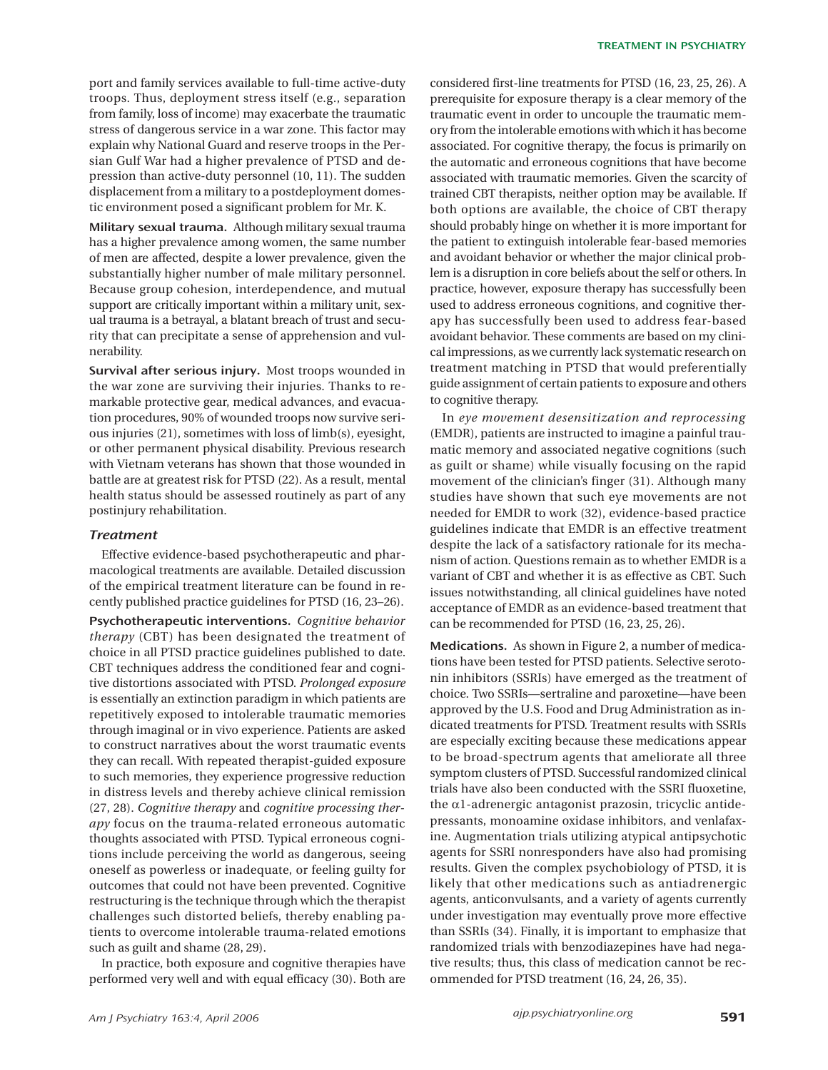port and family services available to full-time active-duty troops. Thus, deployment stress itself (e.g., separation from family, loss of income) may exacerbate the traumatic stress of dangerous service in a war zone. This factor may explain why National Guard and reserve troops in the Persian Gulf War had a higher prevalence of PTSD and depression than active-duty personnel (10, 11). The sudden displacement from a military to a postdeployment domestic environment posed a significant problem for Mr. K.

**Military sexual trauma.** Although military sexual trauma has a higher prevalence among women, the same number of men are affected, despite a lower prevalence, given the substantially higher number of male military personnel. Because group cohesion, interdependence, and mutual support are critically important within a military unit, sexual trauma is a betrayal, a blatant breach of trust and security that can precipitate a sense of apprehension and vulnerability.

**Survival after serious injury.** Most troops wounded in the war zone are surviving their injuries. Thanks to remarkable protective gear, medical advances, and evacuation procedures, 90% of wounded troops now survive serious injuries (21), sometimes with loss of limb(s), eyesight, or other permanent physical disability. Previous research with Vietnam veterans has shown that those wounded in battle are at greatest risk for PTSD (22). As a result, mental health status should be assessed routinely as part of any postinjury rehabilitation.

## *Treatment*

Effective evidence-based psychotherapeutic and pharmacological treatments are available. Detailed discussion of the empirical treatment literature can be found in recently published practice guidelines for PTSD (16, 23–26).

**Psychotherapeutic interventions.** *Cognitive behavior therapy* (CBT) has been designated the treatment of choice in all PTSD practice guidelines published to date. CBT techniques address the conditioned fear and cognitive distortions associated with PTSD. *Prolonged exposure* is essentially an extinction paradigm in which patients are repetitively exposed to intolerable traumatic memories through imaginal or in vivo experience. Patients are asked to construct narratives about the worst traumatic events they can recall. With repeated therapist-guided exposure to such memories, they experience progressive reduction in distress levels and thereby achieve clinical remission (27, 28). *Cognitive therapy* and *cognitive processing therapy* focus on the trauma-related erroneous automatic thoughts associated with PTSD. Typical erroneous cognitions include perceiving the world as dangerous, seeing oneself as powerless or inadequate, or feeling guilty for outcomes that could not have been prevented. Cognitive restructuring is the technique through which the therapist challenges such distorted beliefs, thereby enabling patients to overcome intolerable trauma-related emotions such as guilt and shame (28, 29).

In practice, both exposure and cognitive therapies have performed very well and with equal efficacy (30). Both are

considered first-line treatments for PTSD (16, 23, 25, 26). A prerequisite for exposure therapy is a clear memory of the traumatic event in order to uncouple the traumatic memory from the intolerable emotions with which it has become associated. For cognitive therapy, the focus is primarily on the automatic and erroneous cognitions that have become associated with traumatic memories. Given the scarcity of trained CBT therapists, neither option may be available. If both options are available, the choice of CBT therapy should probably hinge on whether it is more important for the patient to extinguish intolerable fear-based memories and avoidant behavior or whether the major clinical problem is a disruption in core beliefs about the self or others. In practice, however, exposure therapy has successfully been used to address erroneous cognitions, and cognitive therapy has successfully been used to address fear-based avoidant behavior. These comments are based on my clinical impressions, as we currently lack systematic research on treatment matching in PTSD that would preferentially guide assignment of certain patients to exposure and others to cognitive therapy.

In *eye movement desensitization and reprocessing* (EMDR), patients are instructed to imagine a painful traumatic memory and associated negative cognitions (such as guilt or shame) while visually focusing on the rapid movement of the clinician's finger (31). Although many studies have shown that such eye movements are not needed for EMDR to work (32), evidence-based practice guidelines indicate that EMDR is an effective treatment despite the lack of a satisfactory rationale for its mechanism of action. Questions remain as to whether EMDR is a variant of CBT and whether it is as effective as CBT. Such issues notwithstanding, all clinical guidelines have noted acceptance of EMDR as an evidence-based treatment that can be recommended for PTSD (16, 23, 25, 26).

**Medications.** As shown in Figure 2, a number of medications have been tested for PTSD patients. Selective serotonin inhibitors (SSRIs) have emerged as the treatment of choice. Two SSRIs—sertraline and paroxetine—have been approved by the U.S. Food and Drug Administration as indicated treatments for PTSD. Treatment results with SSRIs are especially exciting because these medications appear to be broad-spectrum agents that ameliorate all three symptom clusters of PTSD. Successful randomized clinical trials have also been conducted with the SSRI fluoxetine, the α1-adrenergic antagonist prazosin, tricyclic antidepressants, monoamine oxidase inhibitors, and venlafaxine. Augmentation trials utilizing atypical antipsychotic agents for SSRI nonresponders have also had promising results. Given the complex psychobiology of PTSD, it is likely that other medications such as antiadrenergic agents, anticonvulsants, and a variety of agents currently under investigation may eventually prove more effective than SSRIs (34). Finally, it is important to emphasize that randomized trials with benzodiazepines have had negative results; thus, this class of medication cannot be recommended for PTSD treatment (16, 24, 26, 35).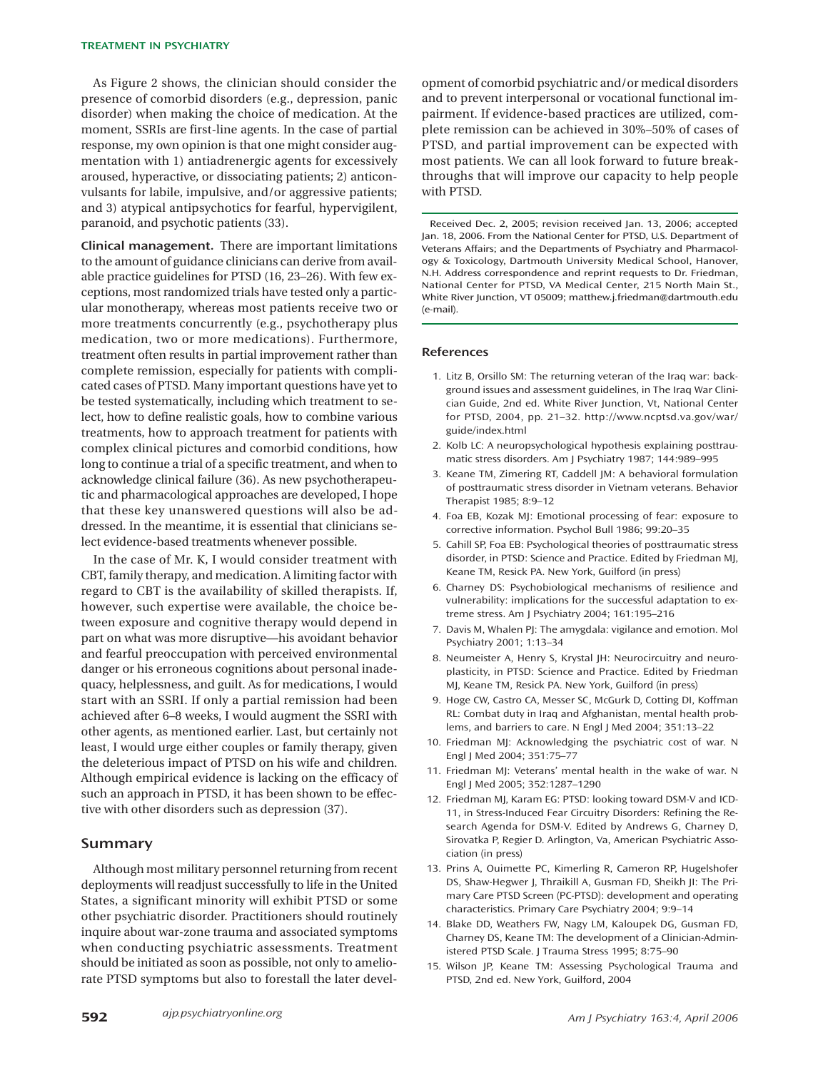As Figure 2 shows, the clinician should consider the presence of comorbid disorders (e.g., depression, panic disorder) when making the choice of medication. At the moment, SSRIs are first-line agents. In the case of partial response, my own opinion is that one might consider augmentation with 1) antiadrenergic agents for excessively aroused, hyperactive, or dissociating patients; 2) anticonvulsants for labile, impulsive, and/or aggressive patients; and 3) atypical antipsychotics for fearful, hypervigilent, paranoid, and psychotic patients (33).

**Clinical management.** There are important limitations to the amount of guidance clinicians can derive from available practice guidelines for PTSD (16, 23–26). With few exceptions, most randomized trials have tested only a particular monotherapy, whereas most patients receive two or more treatments concurrently (e.g., psychotherapy plus medication, two or more medications). Furthermore, treatment often results in partial improvement rather than complete remission, especially for patients with complicated cases of PTSD. Many important questions have yet to be tested systematically, including which treatment to select, how to define realistic goals, how to combine various treatments, how to approach treatment for patients with complex clinical pictures and comorbid conditions, how long to continue a trial of a specific treatment, and when to acknowledge clinical failure (36). As new psychotherapeutic and pharmacological approaches are developed, I hope that these key unanswered questions will also be addressed. In the meantime, it is essential that clinicians select evidence-based treatments whenever possible.

In the case of Mr. K, I would consider treatment with CBT, family therapy, and medication. A limiting factor with regard to CBT is the availability of skilled therapists. If, however, such expertise were available, the choice between exposure and cognitive therapy would depend in part on what was more disruptive—his avoidant behavior and fearful preoccupation with perceived environmental danger or his erroneous cognitions about personal inadequacy, helplessness, and guilt. As for medications, I would start with an SSRI. If only a partial remission had been achieved after 6–8 weeks, I would augment the SSRI with other agents, as mentioned earlier. Last, but certainly not least, I would urge either couples or family therapy, given the deleterious impact of PTSD on his wife and children. Although empirical evidence is lacking on the efficacy of such an approach in PTSD, it has been shown to be effective with other disorders such as depression (37).

## **Summary**

Although most military personnel returning from recent deployments will readjust successfully to life in the United States, a significant minority will exhibit PTSD or some other psychiatric disorder. Practitioners should routinely inquire about war-zone trauma and associated symptoms when conducting psychiatric assessments. Treatment should be initiated as soon as possible, not only to ameliorate PTSD symptoms but also to forestall the later devel-

opment of comorbid psychiatric and/or medical disorders and to prevent interpersonal or vocational functional impairment. If evidence-based practices are utilized, complete remission can be achieved in 30%–50% of cases of PTSD, and partial improvement can be expected with most patients. We can all look forward to future breakthroughs that will improve our capacity to help people with PTSD.

Received Dec. 2, 2005; revision received Jan. 13, 2006; accepted Jan. 18, 2006. From the National Center for PTSD, U.S. Department of Veterans Affairs; and the Departments of Psychiatry and Pharmacology & Toxicology, Dartmouth University Medical School, Hanover, N.H. Address correspondence and reprint requests to Dr. Friedman, National Center for PTSD, VA Medical Center, 215 North Main St., White River Junction, VT 05009; matthew.j.friedman@dartmouth.edu (e-mail).

#### **References**

- 1. Litz B, Orsillo SM: The returning veteran of the Iraq war: background issues and assessment guidelines, in The Iraq War Clinician Guide, 2nd ed. White River Junction, Vt, National Center for PTSD, 2004, pp. 21–32. http://www.ncptsd.va.gov/war/ guide/index.html
- 2. Kolb LC: A neuropsychological hypothesis explaining posttraumatic stress disorders. Am J Psychiatry 1987; 144:989–995
- 3. Keane TM, Zimering RT, Caddell JM: A behavioral formulation of posttraumatic stress disorder in Vietnam veterans. Behavior Therapist 1985; 8:9–12
- 4. Foa EB, Kozak MJ: Emotional processing of fear: exposure to corrective information. Psychol Bull 1986; 99:20–35
- 5. Cahill SP, Foa EB: Psychological theories of posttraumatic stress disorder, in PTSD: Science and Practice. Edited by Friedman MJ, Keane TM, Resick PA. New York, Guilford (in press)
- 6. Charney DS: Psychobiological mechanisms of resilience and vulnerability: implications for the successful adaptation to extreme stress. Am J Psychiatry 2004; 161:195–216
- 7. Davis M, Whalen PJ: The amygdala: vigilance and emotion. Mol Psychiatry 2001; 1:13–34
- 8. Neumeister A, Henry S, Krystal JH: Neurocircuitry and neuroplasticity, in PTSD: Science and Practice. Edited by Friedman MJ, Keane TM, Resick PA. New York, Guilford (in press)
- 9. Hoge CW, Castro CA, Messer SC, McGurk D, Cotting DI, Koffman RL: Combat duty in Iraq and Afghanistan, mental health problems, and barriers to care. N Engl J Med 2004; 351:13–22
- 10. Friedman MJ: Acknowledging the psychiatric cost of war. N Engl J Med 2004; 351:75–77
- 11. Friedman MJ: Veterans' mental health in the wake of war. N Engl J Med 2005; 352:1287–1290
- 12. Friedman MJ, Karam EG: PTSD: looking toward DSM-V and ICD-11, in Stress-Induced Fear Circuitry Disorders: Refining the Research Agenda for DSM-V. Edited by Andrews G, Charney D, Sirovatka P, Regier D. Arlington, Va, American Psychiatric Association (in press)
- 13. Prins A, Ouimette PC, Kimerling R, Cameron RP, Hugelshofer DS, Shaw-Hegwer J, Thraikill A, Gusman FD, Sheikh JI: The Primary Care PTSD Screen (PC-PTSD): development and operating characteristics. Primary Care Psychiatry 2004; 9:9–14
- 14. Blake DD, Weathers FW, Nagy LM, Kaloupek DG, Gusman FD, Charney DS, Keane TM: The development of a Clinician-Administered PTSD Scale. J Trauma Stress 1995; 8:75–90
- 15. Wilson JP, Keane TM: Assessing Psychological Trauma and PTSD, 2nd ed. New York, Guilford, 2004